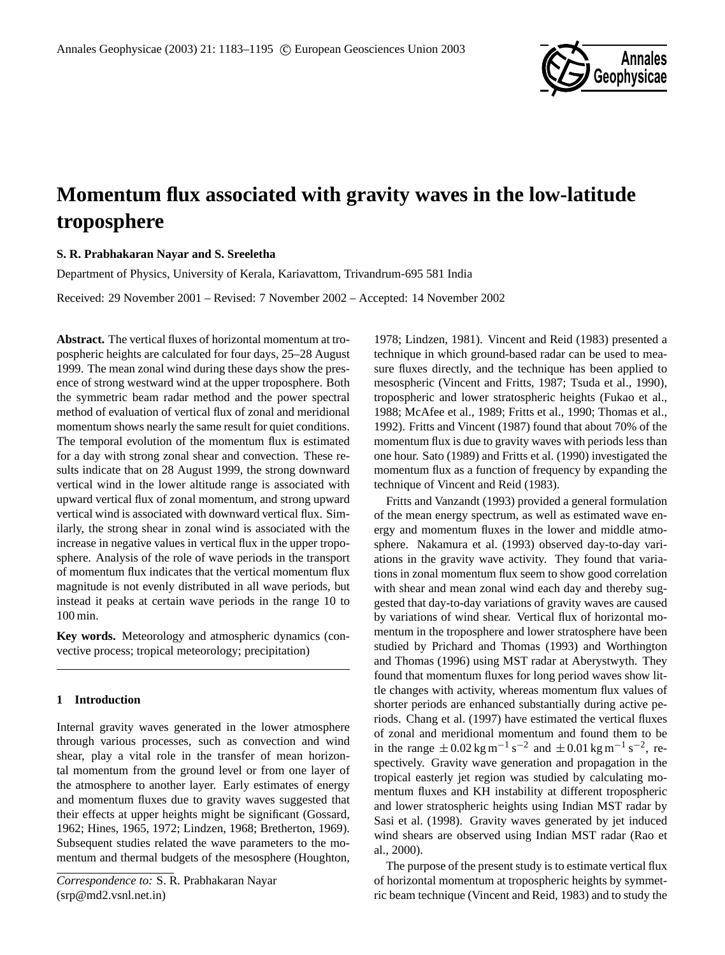

# **Momentum flux associated with gravity waves in the low-latitude troposphere**

# **S. R. Prabhakaran Nayar and S. Sreeletha**

Department of Physics, University of Kerala, Kariavattom, Trivandrum-695 581 India

Received: 29 November 2001 – Revised: 7 November 2002 – Accepted: 14 November 2002

**Abstract.** The vertical fluxes of horizontal momentum at tropospheric heights are calculated for four days, 25–28 August 1999. The mean zonal wind during these days show the presence of strong westward wind at the upper troposphere. Both the symmetric beam radar method and the power spectral method of evaluation of vertical flux of zonal and meridional momentum shows nearly the same result for quiet conditions. The temporal evolution of the momentum flux is estimated for a day with strong zonal shear and convection. These results indicate that on 28 August 1999, the strong downward vertical wind in the lower altitude range is associated with upward vertical flux of zonal momentum, and strong upward vertical wind is associated with downward vertical flux. Similarly, the strong shear in zonal wind is associated with the increase in negative values in vertical flux in the upper troposphere. Analysis of the role of wave periods in the transport of momentum flux indicates that the vertical momentum flux magnitude is not evenly distributed in all wave periods, but instead it peaks at certain wave periods in the range 10 to 100 min.

**Key words.** Meteorology and atmospheric dynamics (convective process; tropical meteorology; precipitation)

## **1 Introduction**

Internal gravity waves generated in the lower atmosphere through various processes, such as convection and wind shear, play a vital role in the transfer of mean horizontal momentum from the ground level or from one layer of the atmosphere to another layer. Early estimates of energy and momentum fluxes due to gravity waves suggested that their effects at upper heights might be significant (Gossard, 1962; Hines, 1965, 1972; Lindzen, 1968; Bretherton, 1969). Subsequent studies related the wave parameters to the momentum and thermal budgets of the mesosphere (Houghton,

1978; Lindzen, 1981). Vincent and Reid (1983) presented a technique in which ground-based radar can be used to measure fluxes directly, and the technique has been applied to mesospheric (Vincent and Fritts, 1987; Tsuda et al., 1990), tropospheric and lower stratospheric heights (Fukao et al., 1988; McAfee et al., 1989; Fritts et al., 1990; Thomas et al., 1992). Fritts and Vincent (1987) found that about 70% of the momentum flux is due to gravity waves with periods less than one hour. Sato (1989) and Fritts et al. (1990) investigated the momentum flux as a function of frequency by expanding the technique of Vincent and Reid (1983).

Fritts and Vanzandt (1993) provided a general formulation of the mean energy spectrum, as well as estimated wave energy and momentum fluxes in the lower and middle atmosphere. Nakamura et al. (1993) observed day-to-day variations in the gravity wave activity. They found that variations in zonal momentum flux seem to show good correlation with shear and mean zonal wind each day and thereby suggested that day-to-day variations of gravity waves are caused by variations of wind shear. Vertical flux of horizontal momentum in the troposphere and lower stratosphere have been studied by Prichard and Thomas (1993) and Worthington and Thomas (1996) using MST radar at Aberystwyth. They found that momentum fluxes for long period waves show little changes with activity, whereas momentum flux values of shorter periods are enhanced substantially during active periods. Chang et al. (1997) have estimated the vertical fluxes of zonal and meridional momentum and found them to be in the range  $\pm 0.02$  kg m<sup>-1</sup> s<sup>-2</sup> and  $\pm 0.01$  kg m<sup>-1</sup> s<sup>-2</sup>, respectively. Gravity wave generation and propagation in the tropical easterly jet region was studied by calculating momentum fluxes and KH instability at different tropospheric and lower stratospheric heights using Indian MST radar by Sasi et al. (1998). Gravity waves generated by jet induced wind shears are observed using Indian MST radar (Rao et al., 2000).

The purpose of the present study is to estimate vertical flux of horizontal momentum at tropospheric heights by symmetric beam technique (Vincent and Reid, 1983) and to study the

*Correspondence to:* S. R. Prabhakaran Nayar (srp@md2.vsnl.net.in)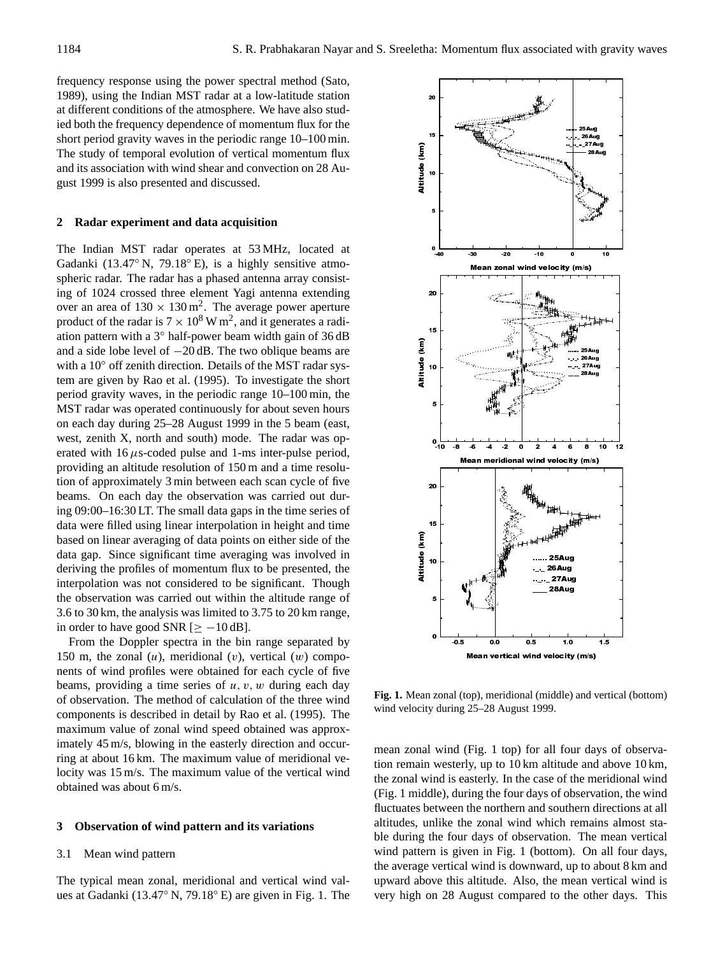frequency response using the power spectral method (Sato, 1989), using the Indian MST radar at a low-latitude station at different conditions of the atmosphere. We have also studied both the frequency dependence of momentum flux for the short period gravity waves in the periodic range 10–100 min. The study of temporal evolution of vertical momentum flux and its association with wind shear and convection on 28 August 1999 is also presented and discussed.

#### **2 Radar experiment and data acquisition**

The Indian MST radar operates at 53 MHz, located at Gadanki (13.47◦ N, 79.18◦ E), is a highly sensitive atmospheric radar. The radar has a phased antenna array consisting of 1024 crossed three element Yagi antenna extending over an area of  $130 \times 130$  m<sup>2</sup>. The average power aperture product of the radar is  $7 \times 10^8$  W m<sup>2</sup>, and it generates a radiation pattern with a 3◦ half-power beam width gain of 36 dB and a side lobe level of −20 dB. The two oblique beams are with a 10° off zenith direction. Details of the MST radar system are given by Rao et al. (1995). To investigate the short period gravity waves, in the periodic range 10–100 min, the MST radar was operated continuously for about seven hours on each day during 25–28 August 1999 in the 5 beam (east, west, zenith X, north and south) mode. The radar was operated with  $16 \mu s$ -coded pulse and 1-ms inter-pulse period, providing an altitude resolution of 150 m and a time resolution of approximately 3 min between each scan cycle of five beams. On each day the observation was carried out during 09:00–16:30 LT. The small data gaps in the time series of data were filled using linear interpolation in height and time based on linear averaging of data points on either side of the data gap. Since significant time averaging was involved in deriving the profiles of momentum flux to be presented, the interpolation was not considered to be significant. Though the observation was carried out within the altitude range of 3.6 to 30 km, the analysis was limited to 3.75 to 20 km range, in order to have good SNR  $[\geq -10 \text{ dB}]$ .

From the Doppler spectra in the bin range separated by 150 m, the zonal  $(u)$ , meridional  $(v)$ , vertical  $(w)$  components of wind profiles were obtained for each cycle of five beams, providing a time series of  $u, v, w$  during each day of observation. The method of calculation of the three wind components is described in detail by Rao et al. (1995). The maximum value of zonal wind speed obtained was approximately 45 m/s, blowing in the easterly direction and occurring at about 16 km. The maximum value of meridional velocity was 15 m/s. The maximum value of the vertical wind obtained was about 6 m/s.

#### **3 Observation of wind pattern and its variations**

## 3.1 Mean wind pattern

The typical mean zonal, meridional and vertical wind values at Gadanki (13.47◦ N, 79.18◦ E) are given in Fig. 1. The



**Fig. 1.** Mean zonal (top), meridional (middle) and vertical (bottom) wind velocity during 25–28 August 1999.

mean zonal wind (Fig. 1 top) for all four days of observation remain westerly, up to 10 km altitude and above 10 km, the zonal wind is easterly. In the case of the meridional wind (Fig. 1 middle), during the four days of observation, the wind fluctuates between the northern and southern directions at all altitudes, unlike the zonal wind which remains almost stable during the four days of observation. The mean vertical wind pattern is given in Fig. 1 (bottom). On all four days, the average vertical wind is downward, up to about 8 km and upward above this altitude. Also, the mean vertical wind is very high on 28 August compared to the other days. This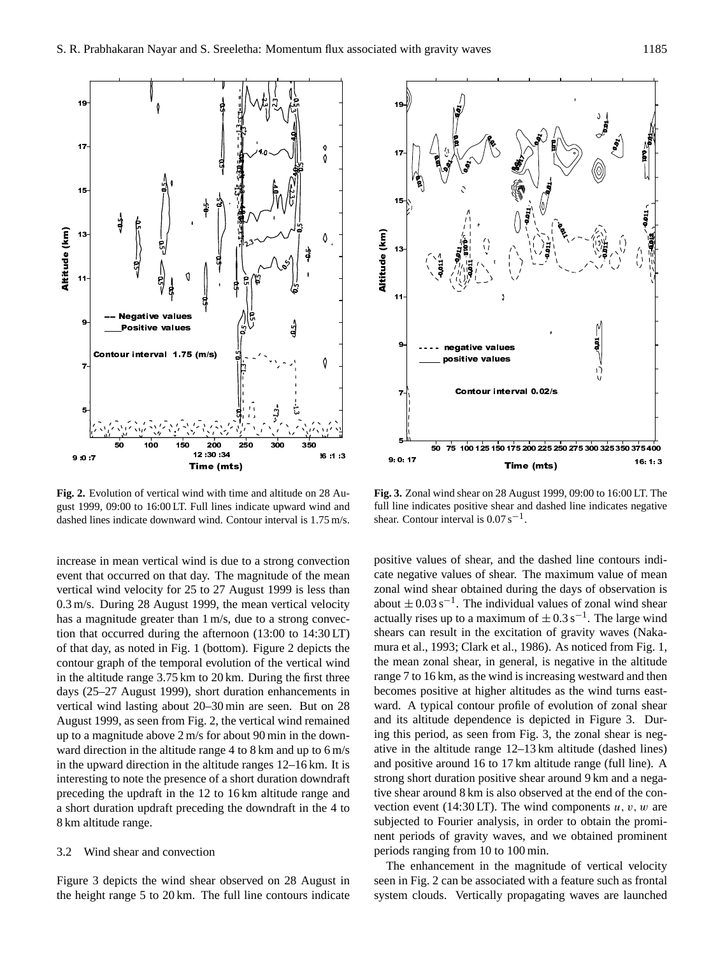

**Fig. 2.** Evolution of vertical wind with time and altitude on 28 August 1999, 09:00 to 16:00 LT. Full lines indicate upward wind and dashed lines indicate downward wind. Contour interval is 1.75 m/s.

increase in mean vertical wind is due to a strong convection event that occurred on that day. The magnitude of the mean vertical wind velocity for 25 to 27 August 1999 is less than 0.3 m/s. During 28 August 1999, the mean vertical velocity has a magnitude greater than  $1 \text{ m/s}$ , due to a strong convection that occurred during the afternoon (13:00 to 14:30 LT) of that day, as noted in Fig. 1 (bottom). Figure 2 depicts the contour graph of the temporal evolution of the vertical wind in the altitude range 3.75 km to 20 km. During the first three days (25–27 August 1999), short duration enhancements in vertical wind lasting about 20–30 min are seen. But on 28 August 1999, as seen from Fig. 2, the vertical wind remained up to a magnitude above 2 m/s for about 90 min in the downward direction in the altitude range 4 to 8 km and up to 6 m/s in the upward direction in the altitude ranges 12–16 km. It is interesting to note the presence of a short duration downdraft preceding the updraft in the 12 to 16 km altitude range and a short duration updraft preceding the downdraft in the 4 to 8 km altitude range.

## 3.2 Wind shear and convection

Figure 3 depicts the wind shear observed on 28 August in



**Fig. 3.** Zonal wind shear on 28 August 1999, 09:00 to 16:00 LT. The full line indicates positive shear and dashed line indicates negative shear. Contour interval is  $0.07 \text{ s}^{-1}$ .

**FIG. 2.** For the state of the state of the state of the state of the state is a specified by the state of the maximum of the state is a specified by the state of the maximum of the full line indicate on 28 Au-<br>
Fig. 3. T positive values of shear, and the dashed line contours indicate negative values of shear. The maximum value of mean zonal wind shear obtained during the days of observation is about  $\pm 0.03$  s<sup>-1</sup>. The individual values of zonal wind shear actually rises up to a maximum of  $\pm 0.3$  s<sup>-1</sup>. The large wind shears can result in the excitation of gravity waves (Nakamura et al., 1993; Clark et al., 1986). As noticed from Fig. 1, the mean zonal shear, in general, is negative in the altitude range 7 to 16 km, as the wind is increasing westward and then becomes positive at higher altitudes as the wind turns eastward. A typical contour profile of evolution of zonal shear and its altitude dependence is depicted in Figure 3. During this period, as seen from Fig. 3, the zonal shear is negative in the altitude range 12–13 km altitude (dashed lines) and positive around 16 to 17 km altitude range (full line). A strong short duration positive shear around 9 km and a negative shear around 8 km is also observed at the end of the convection event (14:30 LT). The wind components  $u, v, w$  are subjected to Fourier analysis, in order to obtain the prominent periods of gravity waves, and we obtained prominent periods ranging from 10 to 100 min.

The enhancement in the magnitude of vertical velocity seen in Fig. 2 can be associated with a feature such as frontal system clouds. Vertically propagating waves are launched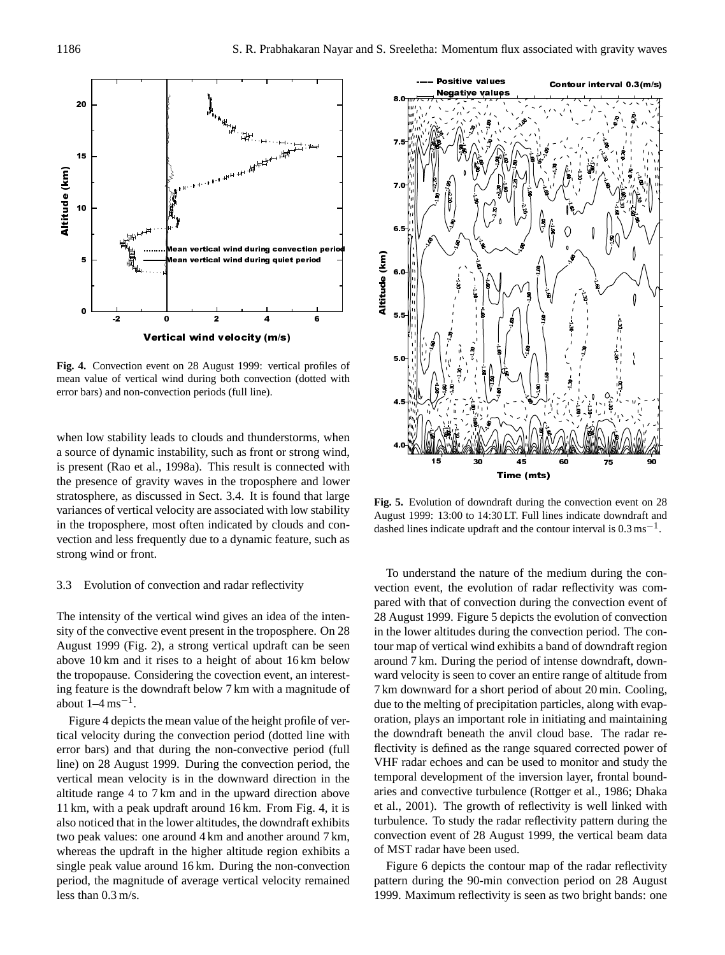

**Fig. 4.** Convection event on 28 August 1999: vertical profiles of mean value of vertical wind during both convection (dotted with error bars) and non-convection periods (full line).

when low stability leads to clouds and thunderstorms, when a source of dynamic instability, such as front or strong wind, is present (Rao et al., 1998a). This result is connected with the presence of gravity waves in the troposphere and lower stratosphere, as discussed in Sect. 3.4. It is found that large variances of vertical velocity are associated with low stability in the troposphere, most often indicated by clouds and convection and less frequently due to a dynamic feature, such as strong wind or front.

## 3.3 Evolution of convection and radar reflectivity

The intensity of the vertical wind gives an idea of the intensity of the convective event present in the troposphere. On 28 August 1999 (Fig. 2), a strong vertical updraft can be seen above 10 km and it rises to a height of about 16 km below the tropopause. Considering the covection event, an interesting feature is the downdraft below 7 km with a magnitude of about  $1-4$  ms<sup>-1</sup>.

Figure 4 depicts the mean value of the height profile of vertical velocity during the convection period (dotted line with error bars) and that during the non-convective period (full line) on 28 August 1999. During the convection period, the vertical mean velocity is in the downward direction in the altitude range 4 to 7 km and in the upward direction above 11 km, with a peak updraft around 16 km. From Fig. 4, it is also noticed that in the lower altitudes, the downdraft exhibits two peak values: one around 4 km and another around 7 km, whereas the updraft in the higher altitude region exhibits a single peak value around 16 km. During the non-convection period, the magnitude of average vertical velocity remained less than 0.3 m/s.



**Fig. 5.** Evolution of downdraft during the convection event on 28 August 1999: 13:00 to 14:30 LT. Full lines indicate downdraft and dashed lines indicate updraft and the contour interval is  $0.3 \text{ ms}^{-1}$ .

To understand the nature of the medium during the convection event, the evolution of radar reflectivity was compared with that of convection during the convection event of 28 August 1999. Figure 5 depicts the evolution of convection in the lower altitudes during the convection period. The contour map of vertical wind exhibits a band of downdraft region around 7 km. During the period of intense downdraft, downward velocity is seen to cover an entire range of altitude from 7 km downward for a short period of about 20 min. Cooling, due to the melting of precipitation particles, along with evaporation, plays an important role in initiating and maintaining the downdraft beneath the anvil cloud base. The radar reflectivity is defined as the range squared corrected power of VHF radar echoes and can be used to monitor and study the temporal development of the inversion layer, frontal boundaries and convective turbulence (Rottger et al., 1986; Dhaka et al., 2001). The growth of reflectivity is well linked with turbulence. To study the radar reflectivity pattern during the convection event of 28 August 1999, the vertical beam data of MST radar have been used.

Figure 6 depicts the contour map of the radar reflectivity pattern during the 90-min convection period on 28 August 1999. Maximum reflectivity is seen as two bright bands: one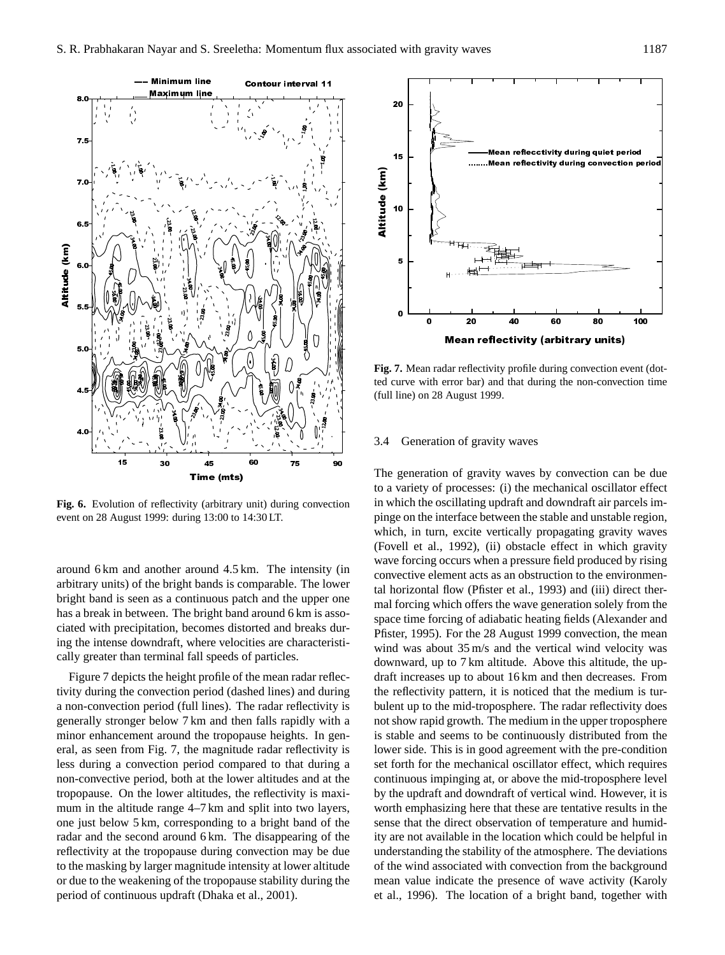

**Fig. 6.** Evolution of reflectivity (arbitrary unit) during convection event on 28 August 1999: during 13:00 to 14:30 LT.

around 6 km and another around 4.5 km. The intensity (in arbitrary units) of the bright bands is comparable. The lower bright band is seen as a continuous patch and the upper one has a break in between. The bright band around 6 km is associated with precipitation, becomes distorted and breaks during the intense downdraft, where velocities are characteristically greater than terminal fall speeds of particles.

Figure 7 depicts the height profile of the mean radar reflectivity during the convection period (dashed lines) and during a non-convection period (full lines). The radar reflectivity is generally stronger below 7 km and then falls rapidly with a minor enhancement around the tropopause heights. In general, as seen from Fig. 7, the magnitude radar reflectivity is less during a convection period compared to that during a non-convective period, both at the lower altitudes and at the tropopause. On the lower altitudes, the reflectivity is maximum in the altitude range 4–7 km and split into two layers, one just below 5 km, corresponding to a bright band of the radar and the second around 6 km. The disappearing of the reflectivity at the tropopause during convection may be due to the masking by larger magnitude intensity at lower altitude or due to the weakening of the tropopause stability during the period of continuous updraft (Dhaka et al., 2001).



**Fig. 7.** Mean radar reflectivity profile during convection event (dotted curve with error bar) and that during the non-convection time (full line) on 28 August 1999.

#### 3.4 Generation of gravity waves

The generation of gravity waves by convection can be due to a variety of processes: (i) the mechanical oscillator effect in which the oscillating updraft and downdraft air parcels impinge on the interface between the stable and unstable region, which, in turn, excite vertically propagating gravity waves (Fovell et al., 1992), (ii) obstacle effect in which gravity wave forcing occurs when a pressure field produced by rising convective element acts as an obstruction to the environmental horizontal flow (Pfister et al., 1993) and (iii) direct thermal forcing which offers the wave generation solely from the space time forcing of adiabatic heating fields (Alexander and Pfister, 1995). For the 28 August 1999 convection, the mean wind was about 35 m/s and the vertical wind velocity was downward, up to 7 km altitude. Above this altitude, the updraft increases up to about 16 km and then decreases. From the reflectivity pattern, it is noticed that the medium is turbulent up to the mid-troposphere. The radar reflectivity does not show rapid growth. The medium in the upper troposphere is stable and seems to be continuously distributed from the lower side. This is in good agreement with the pre-condition set forth for the mechanical oscillator effect, which requires continuous impinging at, or above the mid-troposphere level by the updraft and downdraft of vertical wind. However, it is worth emphasizing here that these are tentative results in the sense that the direct observation of temperature and humidity are not available in the location which could be helpful in understanding the stability of the atmosphere. The deviations of the wind associated with convection from the background mean value indicate the presence of wave activity (Karoly et al., 1996). The location of a bright band, together with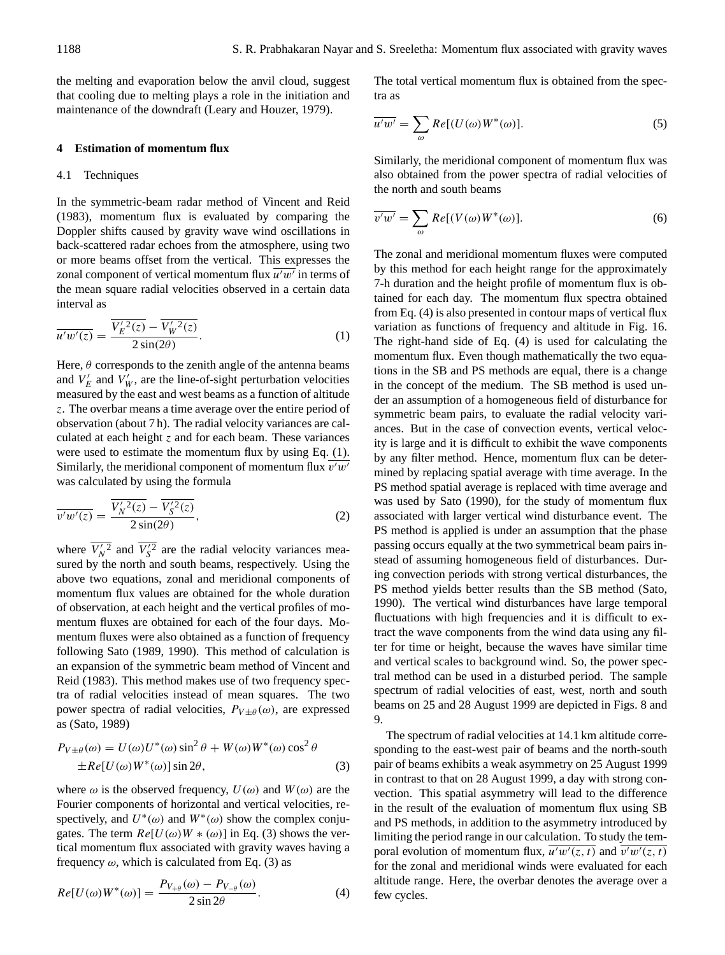the melting and evaporation below the anvil cloud, suggest that cooling due to melting plays a role in the initiation and maintenance of the downdraft (Leary and Houzer, 1979).

## **4 Estimation of momentum flux**

#### 4.1 Techniques

In the symmetric-beam radar method of Vincent and Reid (1983), momentum flux is evaluated by comparing the Doppler shifts caused by gravity wave wind oscillations in back-scattered radar echoes from the atmosphere, using two or more beams offset from the vertical. This expresses the zonal component of vertical momentum flux  $\overline{u'w'}$  in terms of the mean square radial velocities observed in a certain data interval as

$$
\overline{u'w'(z)} = \frac{\overline{V'_E{}^2(z)} - \overline{V'_W{}^2(z)}}{2\sin(2\theta)}.
$$
\n(1)

Here,  $\theta$  corresponds to the zenith angle of the antenna beams and  $V'_E$  and  $V'_W$ , are the line-of-sight perturbation velocities measured by the east and west beams as a function of altitude z. The overbar means a time average over the entire period of observation (about 7 h). The radial velocity variances are calculated at each height  $z$  and for each beam. These variances were used to estimate the momentum flux by using Eq. (1). Similarly, the meridional component of momentum flux  $\overline{v'w'}$ was calculated by using the formula

$$
\overline{v'w'(z)} = \frac{\overline{V'_N{}^2(z)} - \overline{V'_S{}^2(z)}}{2\sin(2\theta)},
$$
\n(2)

where  $\overline{V_N^{\prime 2}}$  and  $\overline{V_S^{\prime 2}}$  are the radial velocity variances measured by the north and south beams, respectively. Using the above two equations, zonal and meridional components of momentum flux values are obtained for the whole duration of observation, at each height and the vertical profiles of momentum fluxes are obtained for each of the four days. Momentum fluxes were also obtained as a function of frequency following Sato (1989, 1990). This method of calculation is an expansion of the symmetric beam method of Vincent and Reid (1983). This method makes use of two frequency spectra of radial velocities instead of mean squares. The two power spectra of radial velocities,  $P_{V \pm \theta}(\omega)$ , are expressed as (Sato, 1989)

$$
P_{V\pm\theta}(\omega) = U(\omega)U^*(\omega)\sin^2\theta + W(\omega)W^*(\omega)\cos^2\theta
$$
  
 
$$
\pm Re[U(\omega)W^*(\omega)]\sin 2\theta,
$$
 (3)

where  $\omega$  is the observed frequency,  $U(\omega)$  and  $W(\omega)$  are the Fourier components of horizontal and vertical velocities, respectively, and  $U^*(\omega)$  and  $W^*(\omega)$  show the complex conjugates. The term  $Re[U(\omega)W * (\omega)]$  in Eq. (3) shows the vertical momentum flux associated with gravity waves having a frequency  $\omega$ , which is calculated from Eq. (3) as

$$
Re[U(\omega)W^*(\omega)] = \frac{P_{V_{+\theta}}(\omega) - P_{V_{-\theta}}(\omega)}{2\sin 2\theta}.
$$
\n(4)

The total vertical momentum flux is obtained from the spectra as

$$
\overline{u'w'} = \sum_{\omega} Re[(U(\omega)W^*(\omega)].
$$
\n(5)

Similarly, the meridional component of momentum flux was also obtained from the power spectra of radial velocities of the north and south beams

$$
\overline{v'w'} = \sum_{\omega} Re[(V(\omega)W^*(\omega)].
$$
\n(6)

The zonal and meridional momentum fluxes were computed by this method for each height range for the approximately 7-h duration and the height profile of momentum flux is obtained for each day. The momentum flux spectra obtained from Eq. (4) is also presented in contour maps of vertical flux variation as functions of frequency and altitude in Fig. 16. The right-hand side of Eq. (4) is used for calculating the momentum flux. Even though mathematically the two equations in the SB and PS methods are equal, there is a change in the concept of the medium. The SB method is used under an assumption of a homogeneous field of disturbance for symmetric beam pairs, to evaluate the radial velocity variances. But in the case of convection events, vertical velocity is large and it is difficult to exhibit the wave components by any filter method. Hence, momentum flux can be determined by replacing spatial average with time average. In the PS method spatial average is replaced with time average and was used by Sato (1990), for the study of momentum flux associated with larger vertical wind disturbance event. The PS method is applied is under an assumption that the phase passing occurs equally at the two symmetrical beam pairs instead of assuming homogeneous field of disturbances. During convection periods with strong vertical disturbances, the PS method yields better results than the SB method (Sato, 1990). The vertical wind disturbances have large temporal fluctuations with high frequencies and it is difficult to extract the wave components from the wind data using any filter for time or height, because the waves have similar time and vertical scales to background wind. So, the power spectral method can be used in a disturbed period. The sample spectrum of radial velocities of east, west, north and south beams on 25 and 28 August 1999 are depicted in Figs. 8 and 9.

The spectrum of radial velocities at 14.1 km altitude corresponding to the east-west pair of beams and the north-south pair of beams exhibits a weak asymmetry on 25 August 1999 in contrast to that on 28 August 1999, a day with strong convection. This spatial asymmetry will lead to the difference in the result of the evaluation of momentum flux using SB and PS methods, in addition to the asymmetry introduced by limiting the period range in our calculation. To study the temporal evolution of momentum flux,  $\overline{u^{\prime}w^{\prime}(z,t)}$  and  $\overline{v^{\prime}w^{\prime}(z,t)}$ for the zonal and meridional winds were evaluated for each altitude range. Here, the overbar denotes the average over a few cycles.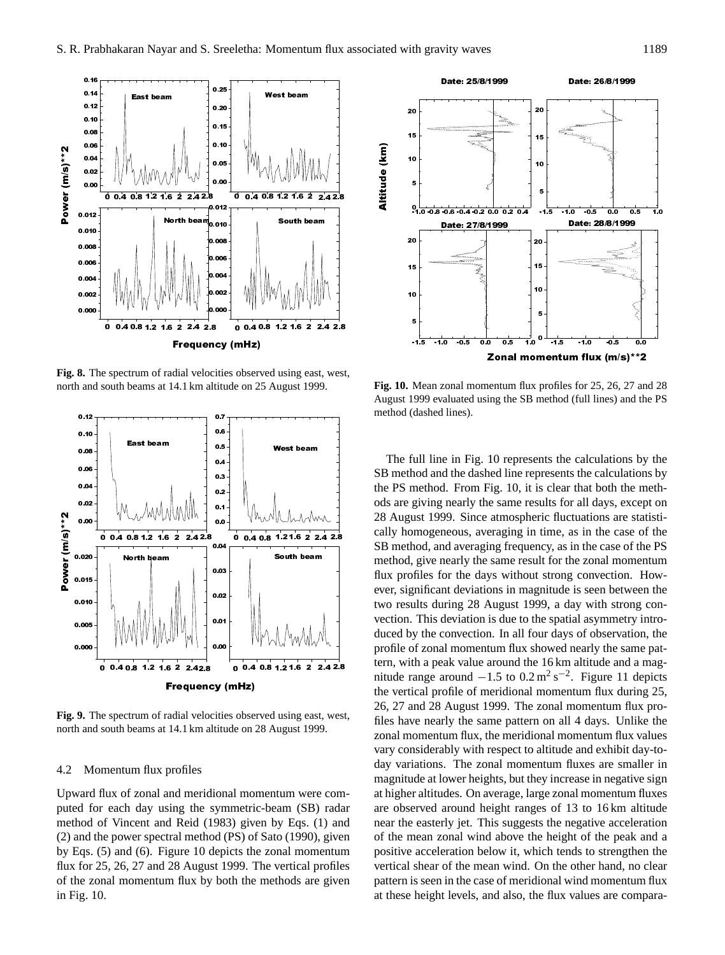

**Fig. 8.** The spectrum of radial velocities observed using east, west, north and south beams at 14.1 km altitude on 25 August 1999.



**Fig. 9.** The spectrum of radial velocities observed using east, west, north and south beams at 14.1 km altitude on 28 August 1999.

#### 4.2 Momentum flux profiles

Upward flux of zonal and meridional momentum were computed for each day using the symmetric-beam (SB) radar method of Vincent and Reid (1983) given by Eqs. (1) and (2) and the power spectral method (PS) of Sato (1990), given by Eqs. (5) and (6). Figure 10 depicts the zonal momentum flux for 25, 26, 27 and 28 August 1999. The vertical profiles of the zonal momentum flux by both the methods are given in Fig. 10.



**Fig. 10.** Mean zonal momentum flux profiles for 25, 26, 27 and 28 August 1999 evaluated using the SB method (full lines) and the PS method (dashed lines).

The full line in Fig. 10 represents the calculations by the SB method and the dashed line represents the calculations by the PS method. From Fig. 10, it is clear that both the methods are giving nearly the same results for all days, except on 28 August 1999. Since atmospheric fluctuations are statistically homogeneous, averaging in time, as in the case of the SB method, and averaging frequency, as in the case of the PS method, give nearly the same result for the zonal momentum flux profiles for the days without strong convection. However, significant deviations in magnitude is seen between the two results during 28 August 1999, a day with strong convection. This deviation is due to the spatial asymmetry introduced by the convection. In all four days of observation, the profile of zonal momentum flux showed nearly the same pattern, with a peak value around the 16 km altitude and a magnitude range around  $-1.5$  to  $0.2 \text{ m}^2 \text{ s}^{-2}$ . Figure 11 depicts the vertical profile of meridional momentum flux during 25, 26, 27 and 28 August 1999. The zonal momentum flux profiles have nearly the same pattern on all 4 days. Unlike the zonal momentum flux, the meridional momentum flux values vary considerably with respect to altitude and exhibit day-today variations. The zonal momentum fluxes are smaller in magnitude at lower heights, but they increase in negative sign at higher altitudes. On average, large zonal momentum fluxes are observed around height ranges of 13 to 16 km altitude near the easterly jet. This suggests the negative acceleration of the mean zonal wind above the height of the peak and a positive acceleration below it, which tends to strengthen the vertical shear of the mean wind. On the other hand, no clear pattern is seen in the case of meridional wind momentum flux at these height levels, and also, the flux values are compara-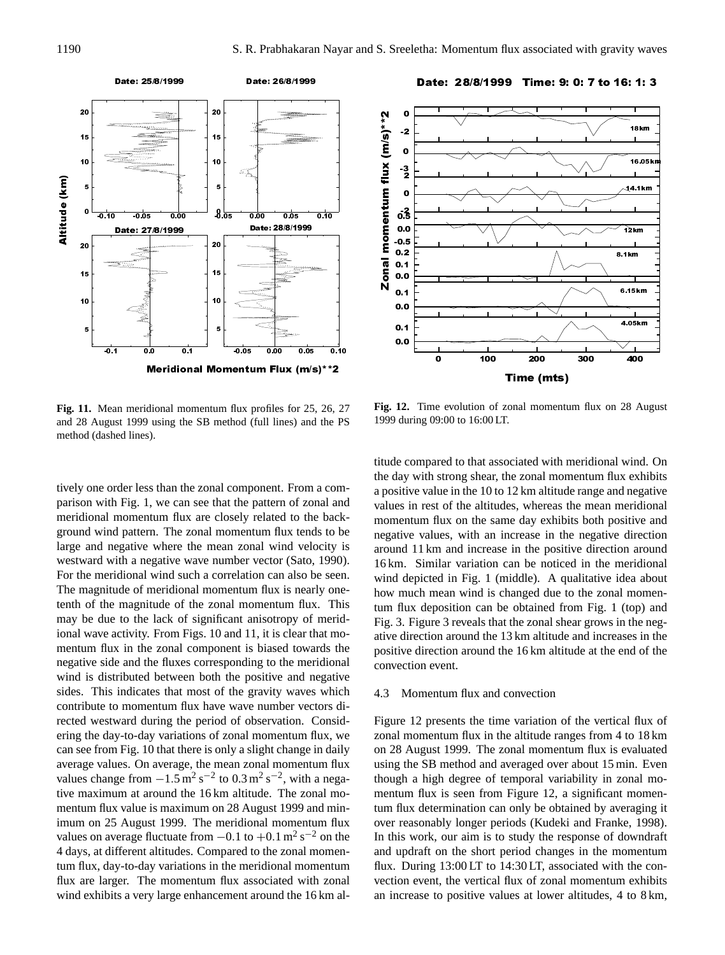

**Fig. 11.** Mean meridional momentum flux profiles for 25, 26, 27 and 28 August 1999 using the SB method (full lines) and the PS method (dashed lines).

tively one order less than the zonal component. From a comparison with Fig. 1, we can see that the pattern of zonal and meridional momentum flux are closely related to the background wind pattern. The zonal momentum flux tends to be large and negative where the mean zonal wind velocity is westward with a negative wave number vector (Sato, 1990). For the meridional wind such a correlation can also be seen. The magnitude of meridional momentum flux is nearly onetenth of the magnitude of the zonal momentum flux. This may be due to the lack of significant anisotropy of meridional wave activity. From Figs. 10 and 11, it is clear that momentum flux in the zonal component is biased towards the negative side and the fluxes corresponding to the meridional wind is distributed between both the positive and negative sides. This indicates that most of the gravity waves which contribute to momentum flux have wave number vectors directed westward during the period of observation. Considering the day-to-day variations of zonal momentum flux, we can see from Fig. 10 that there is only a slight change in daily average values. On average, the mean zonal momentum flux values change from  $-1.5 \text{ m}^2 \text{ s}^{-2}$  to  $0.3 \text{ m}^2 \text{ s}^{-2}$ , with a negative maximum at around the 16 km altitude. The zonal momentum flux value is maximum on 28 August 1999 and minimum on 25 August 1999. The meridional momentum flux values on average fluctuate from  $-0.1$  to  $+0.1$  m<sup>2</sup> s<sup>-2</sup> on the 4 days, at different altitudes. Compared to the zonal momentum flux, day-to-day variations in the meridional momentum flux are larger. The momentum flux associated with zonal wind exhibits a very large enhancement around the 16 km al-



**Fig. 12.** Time evolution of zonal momentum flux on 28 August 1999 during 09:00 to 16:00 LT.

titude compared to that associated with meridional wind. On the day with strong shear, the zonal momentum flux exhibits a positive value in the 10 to 12 km altitude range and negative values in rest of the altitudes, whereas the mean meridional momentum flux on the same day exhibits both positive and negative values, with an increase in the negative direction around 11 km and increase in the positive direction around 16 km. Similar variation can be noticed in the meridional wind depicted in Fig. 1 (middle). A qualitative idea about how much mean wind is changed due to the zonal momentum flux deposition can be obtained from Fig. 1 (top) and Fig. 3. Figure 3 reveals that the zonal shear grows in the negative direction around the 13 km altitude and increases in the positive direction around the 16 km altitude at the end of the convection event.

# 4.3 Momentum flux and convection

Figure 12 presents the time variation of the vertical flux of zonal momentum flux in the altitude ranges from 4 to 18 km on 28 August 1999. The zonal momentum flux is evaluated using the SB method and averaged over about 15 min. Even though a high degree of temporal variability in zonal momentum flux is seen from Figure 12, a significant momentum flux determination can only be obtained by averaging it over reasonably longer periods (Kudeki and Franke, 1998). In this work, our aim is to study the response of downdraft and updraft on the short period changes in the momentum flux. During 13:00 LT to 14:30 LT, associated with the convection event, the vertical flux of zonal momentum exhibits an increase to positive values at lower altitudes, 4 to 8 km,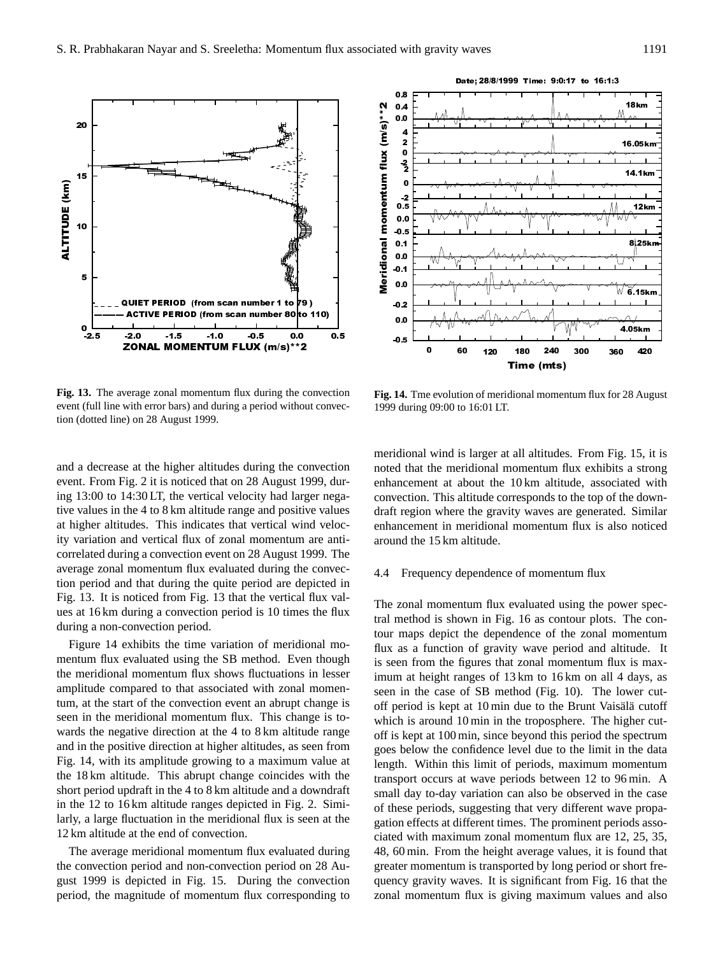**Fig. 13.** The average zonal momentum flux during the convection event (full line with error bars) and during a period without convection (dotted line) on 28 August 1999.

-2.5 -2.0 -1.5 -1.0 -0.5 0.0 0.5

ZONAL MOMENTUM FLUX (m/s)\*\*2

QUIET PERIOD (from scan number 1 to 79)

RIOD (from scan number 80 to 110)

 $^{0}$  5

5

10

ALTITUDE (km)

ALTITUDE (km)

15

20

meridional wind is larger at all altitudes. From Fig. 15, it is noted that the meridional momentum flux exhibits a strong enhancement at about the 10 km altitude, associated with convection. This altitude corresponds to the top of the downdraft region where the gravity waves are generated. Similar enhancement in meridional momentum flux is also noticed around the 15 km altitude.

### 4.4 Frequency dependence of momentum flux

1999 during 09:00 to 16:01 LT.

The zonal momentum flux evaluated using the power spectral method is shown in Fig. 16 as contour plots. The contour maps depict the dependence of the zonal momentum flux as a function of gravity wave period and altitude. It is seen from the figures that zonal momentum flux is maximum at height ranges of 13 km to 16 km on all 4 days, as seen in the case of SB method (Fig. 10). The lower cutoff period is kept at  $10 \text{ min}$  due to the Brunt Vaisälä cutoff which is around 10 min in the troposphere. The higher cutoff is kept at 100 min, since beyond this period the spectrum goes below the confidence level due to the limit in the data length. Within this limit of periods, maximum momentum transport occurs at wave periods between 12 to 96 min. A small day to-day variation can also be observed in the case of these periods, suggesting that very different wave propagation effects at different times. The prominent periods associated with maximum zonal momentum flux are 12, 25, 35, 48, 60 min. From the height average values, it is found that greater momentum is transported by long period or short frequency gravity waves. It is significant from Fig. 16 that the zonal momentum flux is giving maximum values and also



mentum flux evaluated using the SB method. Even though the meridional momentum flux shows fluctuations in lesser amplitude compared to that associated with zonal momentum, at the start of the convection event an abrupt change is seen in the meridional momentum flux. This change is towards the negative direction at the 4 to 8 km altitude range and in the positive direction at higher altitudes, as seen from Fig. 14, with its amplitude growing to a maximum value at the 18 km altitude. This abrupt change coincides with the short period updraft in the 4 to 8 km altitude and a downdraft in the 12 to 16 km altitude ranges depicted in Fig. 2. Similarly, a large fluctuation in the meridional flux is seen at the 12 km altitude at the end of convection.

The average meridional momentum flux evaluated during the convection period and non-convection period on 28 August 1999 is depicted in Fig. 15. During the convection period, the magnitude of momentum flux corresponding to

 $0.5$ 0 60 <sub>120</sub> 180 240 300 360 420 Time (mts)

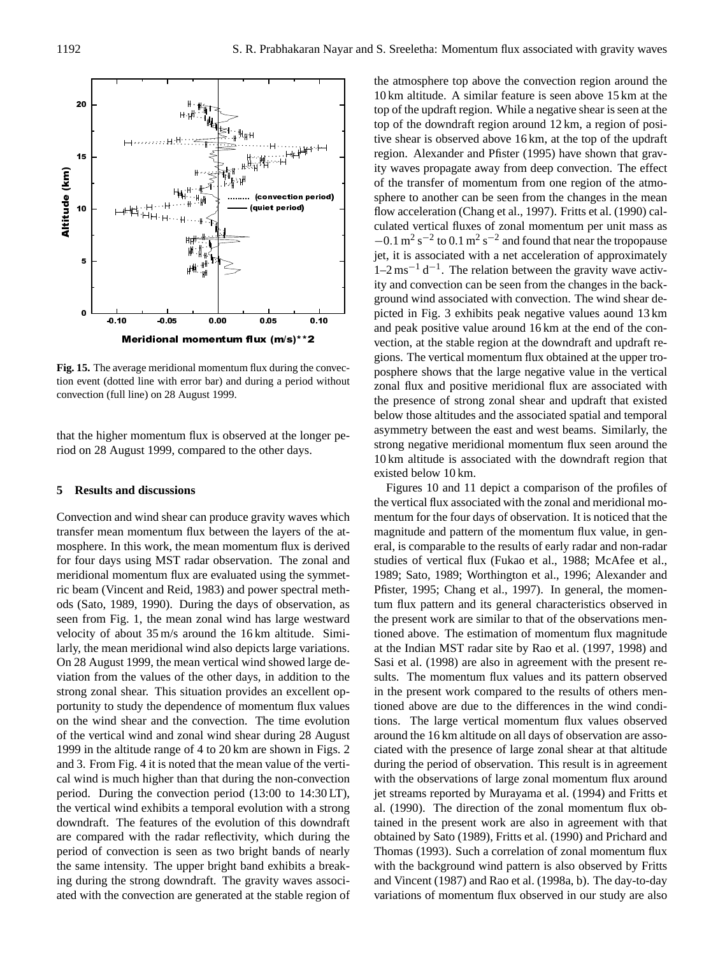

**Fig. 15.** The average meridional momentum flux during the convection event (dotted line with error bar) and during a period without convection (full line) on 28 August 1999.

that the higher momentum flux is observed at the longer period on 28 August 1999, compared to the other days.

## **5 Results and discussions**

Convection and wind shear can produce gravity waves which transfer mean momentum flux between the layers of the atmosphere. In this work, the mean momentum flux is derived for four days using MST radar observation. The zonal and meridional momentum flux are evaluated using the symmetric beam (Vincent and Reid, 1983) and power spectral methods (Sato, 1989, 1990). During the days of observation, as seen from Fig. 1, the mean zonal wind has large westward velocity of about 35 m/s around the 16 km altitude. Similarly, the mean meridional wind also depicts large variations. On 28 August 1999, the mean vertical wind showed large deviation from the values of the other days, in addition to the strong zonal shear. This situation provides an excellent opportunity to study the dependence of momentum flux values on the wind shear and the convection. The time evolution of the vertical wind and zonal wind shear during 28 August 1999 in the altitude range of 4 to 20 km are shown in Figs. 2 and 3. From Fig. 4 it is noted that the mean value of the vertical wind is much higher than that during the non-convection period. During the convection period (13:00 to 14:30 LT), the vertical wind exhibits a temporal evolution with a strong downdraft. The features of the evolution of this downdraft are compared with the radar reflectivity, which during the period of convection is seen as two bright bands of nearly the same intensity. The upper bright band exhibits a breaking during the strong downdraft. The gravity waves associated with the convection are generated at the stable region of

the atmosphere top above the convection region around the 10 km altitude. A similar feature is seen above 15 km at the top of the updraft region. While a negative shear is seen at the top of the downdraft region around 12 km, a region of positive shear is observed above 16 km, at the top of the updraft region. Alexander and Pfister (1995) have shown that gravity waves propagate away from deep convection. The effect of the transfer of momentum from one region of the atmosphere to another can be seen from the changes in the mean flow acceleration (Chang et al., 1997). Fritts et al. (1990) calculated vertical fluxes of zonal momentum per unit mass as  $-0.1$  m<sup>2</sup> s<sup>-2</sup> to 0.1 m<sup>2</sup> s<sup>-2</sup> and found that near the tropopause jet, it is associated with a net acceleration of approximately  $1-2$  ms<sup>-1</sup> d<sup>-1</sup>. The relation between the gravity wave activity and convection can be seen from the changes in the background wind associated with convection. The wind shear depicted in Fig. 3 exhibits peak negative values aound 13 km and peak positive value around 16 km at the end of the convection, at the stable region at the downdraft and updraft regions. The vertical momentum flux obtained at the upper troposphere shows that the large negative value in the vertical zonal flux and positive meridional flux are associated with the presence of strong zonal shear and updraft that existed below those altitudes and the associated spatial and temporal asymmetry between the east and west beams. Similarly, the strong negative meridional momentum flux seen around the 10 km altitude is associated with the downdraft region that existed below 10 km.

Figures 10 and 11 depict a comparison of the profiles of the vertical flux associated with the zonal and meridional momentum for the four days of observation. It is noticed that the magnitude and pattern of the momentum flux value, in general, is comparable to the results of early radar and non-radar studies of vertical flux (Fukao et al., 1988; McAfee et al., 1989; Sato, 1989; Worthington et al., 1996; Alexander and Pfister, 1995; Chang et al., 1997). In general, the momentum flux pattern and its general characteristics observed in the present work are similar to that of the observations mentioned above. The estimation of momentum flux magnitude at the Indian MST radar site by Rao et al. (1997, 1998) and Sasi et al. (1998) are also in agreement with the present results. The momentum flux values and its pattern observed in the present work compared to the results of others mentioned above are due to the differences in the wind conditions. The large vertical momentum flux values observed around the 16 km altitude on all days of observation are associated with the presence of large zonal shear at that altitude during the period of observation. This result is in agreement with the observations of large zonal momentum flux around jet streams reported by Murayama et al. (1994) and Fritts et al. (1990). The direction of the zonal momentum flux obtained in the present work are also in agreement with that obtained by Sato (1989), Fritts et al. (1990) and Prichard and Thomas (1993). Such a correlation of zonal momentum flux with the background wind pattern is also observed by Fritts and Vincent (1987) and Rao et al. (1998a, b). The day-to-day variations of momentum flux observed in our study are also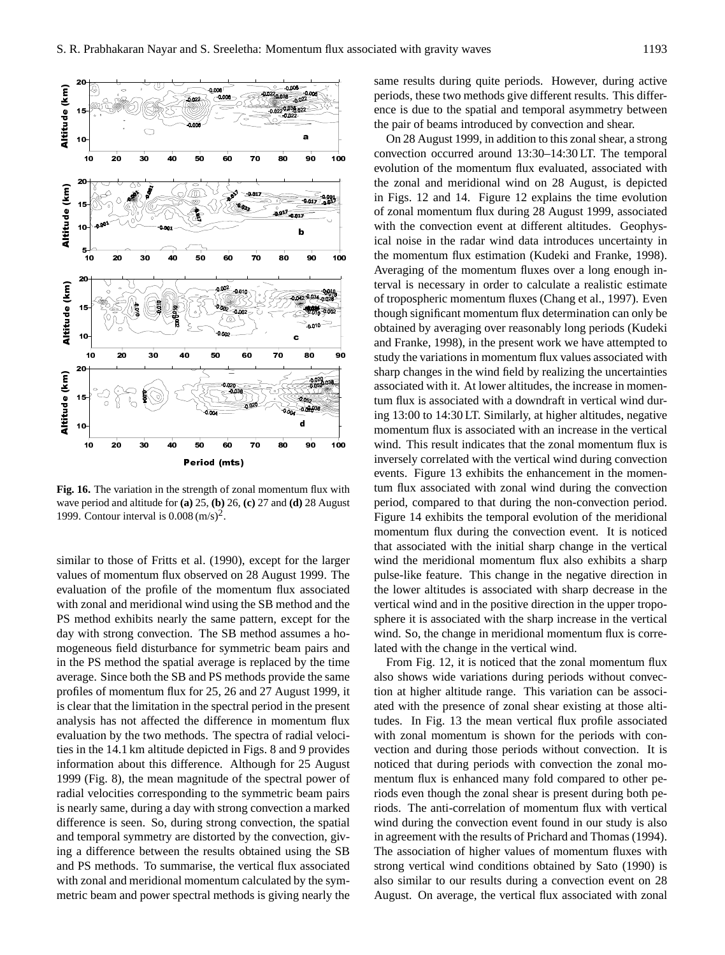

**Fig. 16.** The variation in the strength of zonal momentum flux with wave period and altitude for **(a)** 25, **(b)** 26, **(c)** 27 and **(d)** 28 August 1999. Contour interval is  $0.008 \, \text{(m/s)}^2$ .

similar to those of Fritts et al. (1990), except for the larger values of momentum flux observed on 28 August 1999. The evaluation of the profile of the momentum flux associated with zonal and meridional wind using the SB method and the PS method exhibits nearly the same pattern, except for the day with strong convection. The SB method assumes a homogeneous field disturbance for symmetric beam pairs and in the PS method the spatial average is replaced by the time average. Since both the SB and PS methods provide the same profiles of momentum flux for 25, 26 and 27 August 1999, it is clear that the limitation in the spectral period in the present analysis has not affected the difference in momentum flux evaluation by the two methods. The spectra of radial velocities in the 14.1 km altitude depicted in Figs. 8 and 9 provides information about this difference. Although for 25 August 1999 (Fig. 8), the mean magnitude of the spectral power of radial velocities corresponding to the symmetric beam pairs is nearly same, during a day with strong convection a marked difference is seen. So, during strong convection, the spatial and temporal symmetry are distorted by the convection, giving a difference between the results obtained using the SB and PS methods. To summarise, the vertical flux associated with zonal and meridional momentum calculated by the symmetric beam and power spectral methods is giving nearly the same results during quite periods. However, during active periods, these two methods give different results. This difference is due to the spatial and temporal asymmetry between the pair of beams introduced by convection and shear.

On 28 August 1999, in addition to this zonal shear, a strong convection occurred around 13:30–14:30 LT. The temporal evolution of the momentum flux evaluated, associated with the zonal and meridional wind on 28 August, is depicted in Figs. 12 and 14. Figure 12 explains the time evolution of zonal momentum flux during 28 August 1999, associated with the convection event at different altitudes. Geophysical noise in the radar wind data introduces uncertainty in the momentum flux estimation (Kudeki and Franke, 1998). Averaging of the momentum fluxes over a long enough interval is necessary in order to calculate a realistic estimate of tropospheric momentum fluxes (Chang et al., 1997). Even though significant momentum flux determination can only be obtained by averaging over reasonably long periods (Kudeki and Franke, 1998), in the present work we have attempted to study the variations in momentum flux values associated with sharp changes in the wind field by realizing the uncertainties associated with it. At lower altitudes, the increase in momentum flux is associated with a downdraft in vertical wind during 13:00 to 14:30 LT. Similarly, at higher altitudes, negative momentum flux is associated with an increase in the vertical wind. This result indicates that the zonal momentum flux is inversely correlated with the vertical wind during convection events. Figure 13 exhibits the enhancement in the momentum flux associated with zonal wind during the convection period, compared to that during the non-convection period. Figure 14 exhibits the temporal evolution of the meridional momentum flux during the convection event. It is noticed that associated with the initial sharp change in the vertical wind the meridional momentum flux also exhibits a sharp pulse-like feature. This change in the negative direction in the lower altitudes is associated with sharp decrease in the vertical wind and in the positive direction in the upper troposphere it is associated with the sharp increase in the vertical wind. So, the change in meridional momentum flux is correlated with the change in the vertical wind.

From Fig. 12, it is noticed that the zonal momentum flux also shows wide variations during periods without convection at higher altitude range. This variation can be associated with the presence of zonal shear existing at those altitudes. In Fig. 13 the mean vertical flux profile associated with zonal momentum is shown for the periods with convection and during those periods without convection. It is noticed that during periods with convection the zonal momentum flux is enhanced many fold compared to other periods even though the zonal shear is present during both periods. The anti-correlation of momentum flux with vertical wind during the convection event found in our study is also in agreement with the results of Prichard and Thomas (1994). The association of higher values of momentum fluxes with strong vertical wind conditions obtained by Sato (1990) is also similar to our results during a convection event on 28 August. On average, the vertical flux associated with zonal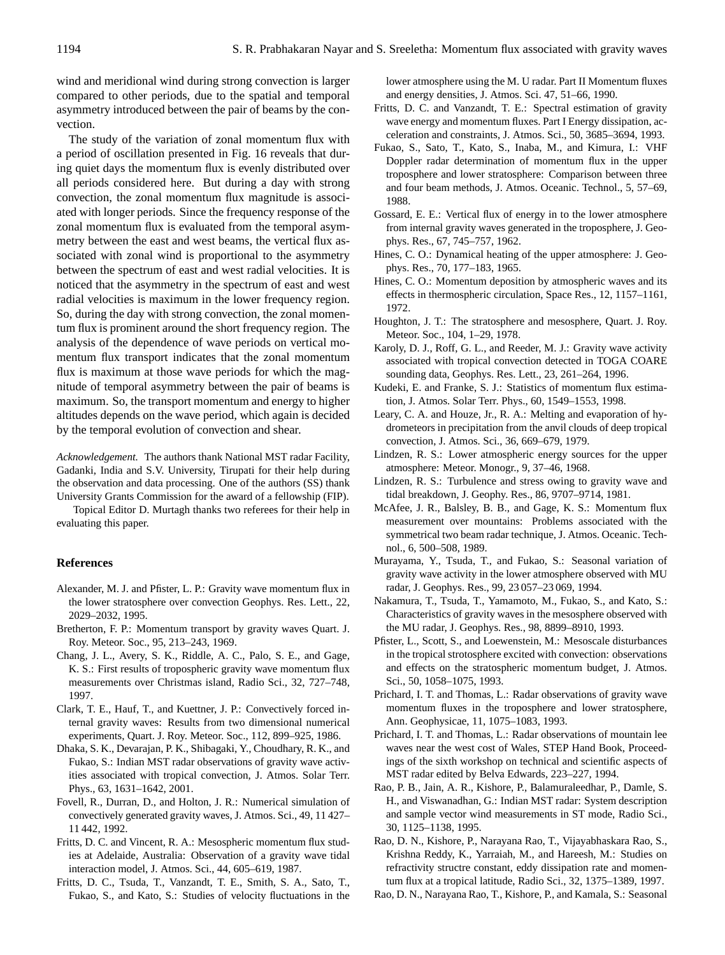wind and meridional wind during strong convection is larger compared to other periods, due to the spatial and temporal asymmetry introduced between the pair of beams by the convection.

The study of the variation of zonal momentum flux with a period of oscillation presented in Fig. 16 reveals that during quiet days the momentum flux is evenly distributed over all periods considered here. But during a day with strong convection, the zonal momentum flux magnitude is associated with longer periods. Since the frequency response of the zonal momentum flux is evaluated from the temporal asymmetry between the east and west beams, the vertical flux associated with zonal wind is proportional to the asymmetry between the spectrum of east and west radial velocities. It is noticed that the asymmetry in the spectrum of east and west radial velocities is maximum in the lower frequency region. So, during the day with strong convection, the zonal momentum flux is prominent around the short frequency region. The analysis of the dependence of wave periods on vertical momentum flux transport indicates that the zonal momentum flux is maximum at those wave periods for which the magnitude of temporal asymmetry between the pair of beams is maximum. So, the transport momentum and energy to higher altitudes depends on the wave period, which again is decided by the temporal evolution of convection and shear.

*Acknowledgement.* The authors thank National MST radar Facility, Gadanki, India and S.V. University, Tirupati for their help during the observation and data processing. One of the authors (SS) thank University Grants Commission for the award of a fellowship (FIP).

Topical Editor D. Murtagh thanks two referees for their help in evaluating this paper.

## **References**

- Alexander, M. J. and Pfister, L. P.: Gravity wave momentum flux in the lower stratosphere over convection Geophys. Res. Lett., 22, 2029–2032, 1995.
- Bretherton, F. P.: Momentum transport by gravity waves Quart. J. Roy. Meteor. Soc., 95, 213–243, 1969.
- Chang, J. L., Avery, S. K., Riddle, A. C., Palo, S. E., and Gage, K. S.: First results of tropospheric gravity wave momentum flux measurements over Christmas island, Radio Sci., 32, 727–748, 1997.
- Clark, T. E., Hauf, T., and Kuettner, J. P.: Convectively forced internal gravity waves: Results from two dimensional numerical experiments, Quart. J. Roy. Meteor. Soc., 112, 899–925, 1986.
- Dhaka, S. K., Devarajan, P. K., Shibagaki, Y., Choudhary, R. K., and Fukao, S.: Indian MST radar observations of gravity wave activities associated with tropical convection, J. Atmos. Solar Terr. Phys., 63, 1631–1642, 2001.
- Fovell, R., Durran, D., and Holton, J. R.: Numerical simulation of convectively generated gravity waves, J. Atmos. Sci., 49, 11 427– 11 442, 1992.
- Fritts, D. C. and Vincent, R. A.: Mesospheric momentum flux studies at Adelaide, Australia: Observation of a gravity wave tidal interaction model, J. Atmos. Sci., 44, 605–619, 1987.
- Fritts, D. C., Tsuda, T., Vanzandt, T. E., Smith, S. A., Sato, T., Fukao, S., and Kato, S.: Studies of velocity fluctuations in the

lower atmosphere using the M. U radar. Part II Momentum fluxes and energy densities, J. Atmos. Sci. 47, 51–66, 1990.

- Fritts, D. C. and Vanzandt, T. E.: Spectral estimation of gravity wave energy and momentum fluxes. Part I Energy dissipation, acceleration and constraints, J. Atmos. Sci., 50, 3685–3694, 1993.
- Fukao, S., Sato, T., Kato, S., Inaba, M., and Kimura, I.: VHF Doppler radar determination of momentum flux in the upper troposphere and lower stratosphere: Comparison between three and four beam methods, J. Atmos. Oceanic. Technol., 5, 57–69, 1988.
- Gossard, E. E.: Vertical flux of energy in to the lower atmosphere from internal gravity waves generated in the troposphere, J. Geophys. Res., 67, 745–757, 1962.
- Hines, C. O.: Dynamical heating of the upper atmosphere: J. Geophys. Res., 70, 177–183, 1965.
- Hines, C. O.: Momentum deposition by atmospheric waves and its effects in thermospheric circulation, Space Res., 12, 1157–1161, 1972.
- Houghton, J. T.: The stratosphere and mesosphere, Quart. J. Roy. Meteor. Soc., 104, 1–29, 1978.
- Karoly, D. J., Roff, G. L., and Reeder, M. J.: Gravity wave activity associated with tropical convection detected in TOGA COARE sounding data, Geophys. Res. Lett., 23, 261–264, 1996.
- Kudeki, E. and Franke, S. J.: Statistics of momentum flux estimation, J. Atmos. Solar Terr. Phys., 60, 1549–1553, 1998.
- Leary, C. A. and Houze, Jr., R. A.: Melting and evaporation of hydrometeors in precipitation from the anvil clouds of deep tropical convection, J. Atmos. Sci., 36, 669–679, 1979.
- Lindzen, R. S.: Lower atmospheric energy sources for the upper atmosphere: Meteor. Monogr., 9, 37–46, 1968.
- Lindzen, R. S.: Turbulence and stress owing to gravity wave and tidal breakdown, J. Geophy. Res., 86, 9707–9714, 1981.
- McAfee, J. R., Balsley, B. B., and Gage, K. S.: Momentum flux measurement over mountains: Problems associated with the symmetrical two beam radar technique, J. Atmos. Oceanic. Technol., 6, 500–508, 1989.
- Murayama, Y., Tsuda, T., and Fukao, S.: Seasonal variation of gravity wave activity in the lower atmosphere observed with MU radar, J. Geophys. Res., 99, 23 057–23 069, 1994.
- Nakamura, T., Tsuda, T., Yamamoto, M., Fukao, S., and Kato, S.: Characteristics of gravity waves in the mesosphere observed with the MU radar, J. Geophys. Res., 98, 8899–8910, 1993.
- Pfister, L., Scott, S., and Loewenstein, M.: Mesoscale disturbances in the tropical strotosphere excited with convection: observations and effects on the stratospheric momentum budget, J. Atmos. Sci., 50, 1058–1075, 1993.
- Prichard, I. T. and Thomas, L.: Radar observations of gravity wave momentum fluxes in the troposphere and lower stratosphere, Ann. Geophysicae, 11, 1075–1083, 1993.
- Prichard, I. T. and Thomas, L.: Radar observations of mountain lee waves near the west cost of Wales, STEP Hand Book, Proceedings of the sixth workshop on technical and scientific aspects of MST radar edited by Belva Edwards, 223–227, 1994.
- Rao, P. B., Jain, A. R., Kishore, P., Balamuraleedhar, P., Damle, S. H., and Viswanadhan, G.: Indian MST radar: System description and sample vector wind measurements in ST mode, Radio Sci., 30, 1125–1138, 1995.
- Rao, D. N., Kishore, P., Narayana Rao, T., Vijayabhaskara Rao, S., Krishna Reddy, K., Yarraiah, M., and Hareesh, M.: Studies on refractivity structre constant, eddy dissipation rate and momentum flux at a tropical latitude, Radio Sci., 32, 1375–1389, 1997.
- Rao, D. N., Narayana Rao, T., Kishore, P., and Kamala, S.: Seasonal